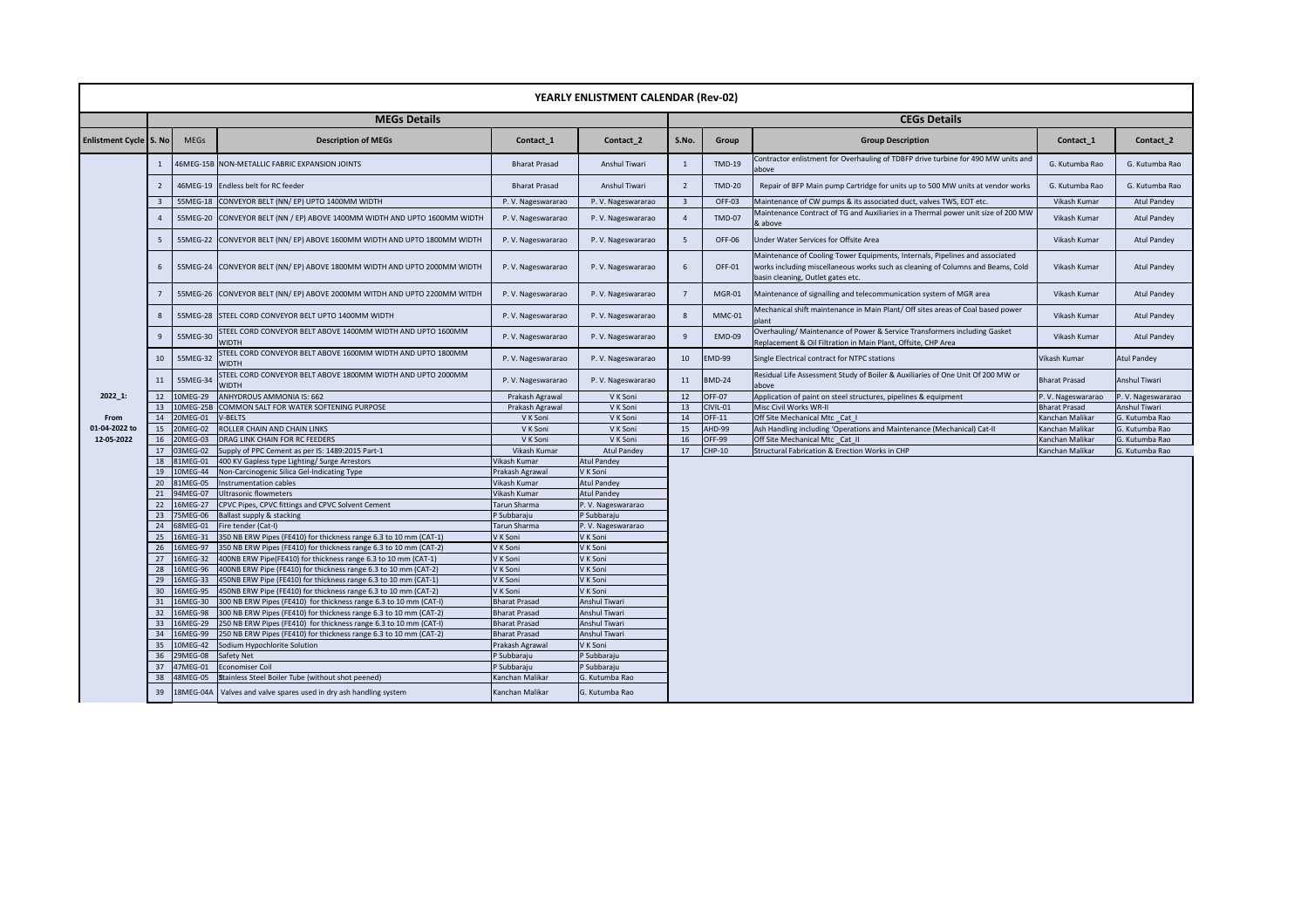| <b>YEARLY ENLISTMENT CALENDAR (Rev-02)</b> |                     |                      |                                                                                                                          |                                    |                                  |                     |                    |                                                                                                                                                                                                      |                                    |                                  |  |
|--------------------------------------------|---------------------|----------------------|--------------------------------------------------------------------------------------------------------------------------|------------------------------------|----------------------------------|---------------------|--------------------|------------------------------------------------------------------------------------------------------------------------------------------------------------------------------------------------------|------------------------------------|----------------------------------|--|
|                                            | <b>MEGs Details</b> |                      |                                                                                                                          |                                    |                                  | <b>CEGs Details</b> |                    |                                                                                                                                                                                                      |                                    |                                  |  |
| <b>Enlistment Cycle   S. No</b>            |                     | <b>MEGs</b>          | <b>Description of MEGs</b>                                                                                               | Contact_1                          | Contact 2                        | S.No.               | <b>Group</b>       | <b>Group Description</b>                                                                                                                                                                             | Contact_1                          | Contact 2                        |  |
|                                            |                     |                      | 46MEG-15B NON-METALLIC FABRIC EXPANSION JOINTS                                                                           | <b>Bharat Prasad</b>               | Anshul Tiwari                    |                     | <b>TMD-19</b>      | Contractor enlistment for Overhauling of TDBFP drive turbine for 490 MW units and<br>above                                                                                                           | G. Kutumba Rao                     | G. Kutumba Rao                   |  |
|                                            |                     |                      | 46MEG-19 Endless belt for RC feeder                                                                                      | <b>Bharat Prasad</b>               | Anshul Tiwari                    |                     | <b>TMD-20</b>      | Repair of BFP Main pump Cartridge for units up to 500 MW units at vendor works                                                                                                                       | G. Kutumba Rao                     | G. Kutumba Rao                   |  |
|                                            |                     |                      | 55MEG-18 CONVEYOR BELT (NN/EP) UPTO 1400MM WIDTH                                                                         | P.V. Nageswararao                  | P.V. Nageswararao                |                     | <b>OFF-03</b>      | Maintenance of CW pumps & its associated duct, valves TWS, EOT etc.                                                                                                                                  | Vikash Kumar                       | <b>Atul Pandey</b>               |  |
|                                            |                     |                      | 55MEG-20 CONVEYOR BELT (NN / EP) ABOVE 1400MM WIDTH AND UPTO 1600MM WIDTH                                                | P.V. Nageswararao                  | P.V. Nageswararao                |                     | <b>TMD-07</b>      | Maintenance Contract of TG and Auxiliaries in a Thermal power unit size of 200 MW<br>& above                                                                                                         | Vikash Kumar                       | <b>Atul Pandey</b>               |  |
|                                            |                     |                      | 55MEG-22 CONVEYOR BELT (NN/EP) ABOVE 1600MM WIDTH AND UPTO 1800MM WIDTH                                                  | P.V. Nageswararao                  | P.V. Nageswararao                |                     | OFF-06             | Under Water Services for Offsite Area                                                                                                                                                                | Vikash Kumar                       | <b>Atul Pandey</b>               |  |
|                                            | 6                   |                      | 55MEG-24 CONVEYOR BELT (NN/EP) ABOVE 1800MM WIDTH AND UPTO 2000MM WIDTH                                                  | P.V. Nageswararao                  | P.V. Nageswararao                |                     | <b>OFF-01</b>      | Maintenance of Cooling Tower Equipments, Internals, Pipelines and associated<br>works including miscellaneous works such as cleaning of Columns and Beams, Cold<br>basin cleaning, Outlet gates etc. | Vikash Kumar                       | <b>Atul Pandey</b>               |  |
|                                            |                     |                      | 55MEG-26 CONVEYOR BELT (NN/EP) ABOVE 2000MM WITDH AND UPTO 2200MM WITDH                                                  | P.V. Nageswararao                  | P.V. Nageswararao                |                     | MGR-01             | Maintenance of signalling and telecommunication system of MGR area                                                                                                                                   | Vikash Kumar                       | <b>Atul Pandey</b>               |  |
|                                            |                     |                      | 55MEG-28 STEEL CORD CONVEYOR BELT UPTO 1400MM WIDTH                                                                      | P.V. Nageswararao                  | P.V. Nageswararao                |                     | MMC-01             | Mechanical shift maintenance in Main Plant/ Off sites areas of Coal based power<br><b>plant</b>                                                                                                      | Vikash Kumar                       | <b>Atul Pandey</b>               |  |
|                                            | <sub>q</sub>        | 55MEG-30             | STEEL CORD CONVEYOR BELT ABOVE 1400MM WIDTH AND UPTO 1600MM<br><b>WIDTH</b>                                              | P.V. Nageswararao                  | P.V. Nageswararao                |                     | EMD-09             | Overhauling/ Maintenance of Power & Service Transformers including Gasket<br>Replacement & Oil Filtration in Main Plant, Offsite, CHP Area                                                           | Vikash Kumar                       | <b>Atul Pandey</b>               |  |
|                                            | 10                  | 55MEG-32             | STEEL CORD CONVEYOR BELT ABOVE 1600MM WIDTH AND UPTO 1800MM<br><b>WIDTH</b>                                              | P.V. Nageswararao                  | P.V. Nageswararao                | 10 <sup>°</sup>     | EMD-99             | Single Electrical contract for NTPC stations                                                                                                                                                         | Vikash Kumar                       | <b>Atul Pandey</b>               |  |
|                                            | 11                  | 55MEG-34             | STEEL CORD CONVEYOR BELT ABOVE 1800MM WIDTH AND UPTO 2000MM<br><b>WIDTH</b>                                              | P.V. Nageswararao                  | P.V. Nageswararao                | 11                  | $BMD-24$           | Residual Life Assessment Study of Boiler & Auxiliaries of One Unit Of 200 MW or<br>above                                                                                                             | <b>Bharat Prasad</b>               | Anshul Tiwari                    |  |
| $2022_1$ :                                 | 12                  | 10MEG-29             | <b>ANHYDROUS AMMONIA IS: 662</b>                                                                                         | Prakash Agrawal                    | V K Soni                         |                     | OFF-07             | Application of paint on steel structures, pipelines & equipment                                                                                                                                      | P.V. Nageswararao                  | P.V. Nageswararao                |  |
|                                            |                     |                      | LOMEG-25B COMMON SALT FOR WATER SOFTENING PURPOSE                                                                        | Prakash Agrawal                    | V K Soni                         | -13                 | CIVIL-01           | Misc Civil Works WR-II                                                                                                                                                                               | <b>Bharat Prasad</b>               | <b>Anshul Tiwari</b>             |  |
| From                                       |                     | 20MEG-01 V-BELTS     |                                                                                                                          | V K Soni                           | V K Soni                         | 14                  | $OFF-11$           | Off Site Mechanical Mtc Cat I                                                                                                                                                                        | Kanchan Malikar                    | G. Kutumba Rao                   |  |
| 01-04-2022 to<br>12-05-2022                | 15<br>16            | 20MEG-02<br>20MEG-03 | ROLLER CHAIN AND CHAIN LINKS<br>DRAG LINK CHAIN FOR RC FEEDERS                                                           | V K Soni<br>V K Soni               | V K Soni<br>V K Soni             | 15<br>16            | AHD-99<br>$OFF-99$ | Ash Handling including 'Operations and Maintenance (Mechanical) Cat-II<br>Off Site Mechanical Mtc Cat II                                                                                             | Kanchan Malikar<br>Kanchan Malikar | G. Kutumba Rao<br>G. Kutumba Rao |  |
|                                            |                     | 03MEG-02             | Supply of PPC Cement as per IS: 1489:2015 Part-1                                                                         | Vikash Kumar                       | <b>Atul Pandey</b>               |                     | $CHP-10$           | Structural Fabrication & Erection Works in CHP                                                                                                                                                       | Kanchan Malikar                    | G. Kutumba Rao                   |  |
|                                            |                     | 81MEG-01             | 400 KV Gapless type Lighting/ Surge Arrestors                                                                            | Vikash Kumar                       | <b>Atul Pandey</b>               |                     |                    |                                                                                                                                                                                                      |                                    |                                  |  |
|                                            |                     | 10MEG-44             | Non-Carcinogenic Silica Gel-Indicating Type                                                                              | Prakash Agrawal                    | V K Soni                         |                     |                    |                                                                                                                                                                                                      |                                    |                                  |  |
|                                            |                     | 81MEG-05             | Instrumentation cables                                                                                                   | Vikash Kumar                       | <b>Atul Pandey</b>               |                     |                    |                                                                                                                                                                                                      |                                    |                                  |  |
|                                            |                     | 94MEG-07             | Ultrasonic flowmeters                                                                                                    | Vikash Kumar                       | <b>Atul Pandey</b>               |                     |                    |                                                                                                                                                                                                      |                                    |                                  |  |
|                                            |                     | 16MEG-27             | CPVC Pipes, CPVC fittings and CPVC Solvent Cement                                                                        | <b>Tarun Sharma</b>                | P.V. Nageswararao                |                     |                    |                                                                                                                                                                                                      |                                    |                                  |  |
|                                            |                     | 75MEG-06             | <b>Ballast supply &amp; stacking</b>                                                                                     | P Subbaraju                        | P Subbaraju                      |                     |                    |                                                                                                                                                                                                      |                                    |                                  |  |
|                                            |                     | 68MEG-01             | Fire tender (Cat-I)                                                                                                      | Tarun Sharma                       | P.V. Nageswararao                |                     |                    |                                                                                                                                                                                                      |                                    |                                  |  |
|                                            |                     | 16MEG-31             | 350 NB ERW Pipes (FE410) for thickness range 6.3 to 10 mm (CAT-1)                                                        | V K Soni                           | V K Soni                         |                     |                    |                                                                                                                                                                                                      |                                    |                                  |  |
|                                            |                     | 16MEG-97             | 350 NB ERW Pipes (FE410) for thickness range 6.3 to 10 mm (CAT-2)                                                        | V K Soni                           | V K Soni                         |                     |                    |                                                                                                                                                                                                      |                                    |                                  |  |
|                                            |                     | 16MEG-32             | 400NB ERW Pipe(FE410) for thickness range 6.3 to 10 mm (CAT-1)                                                           | V K Soni                           | V K Soni                         |                     |                    |                                                                                                                                                                                                      |                                    |                                  |  |
|                                            |                     | 16MEG-96             | 400NB ERW Pipe (FE410) for thickness range 6.3 to 10 mm (CAT-2)                                                          | V K Soni                           | V K Soni                         |                     |                    |                                                                                                                                                                                                      |                                    |                                  |  |
|                                            |                     | 16MEG-33             | 450NB ERW Pipe (FE410) for thickness range 6.3 to 10 mm (CAT-1)                                                          | V K Soni                           | V K Soni                         |                     |                    |                                                                                                                                                                                                      |                                    |                                  |  |
|                                            |                     | 16MEG-95             | 450NB ERW Pipe (FE410) for thickness range 6.3 to 10 mm (CAT-2)                                                          | V K Soni                           | V K Soni                         |                     |                    |                                                                                                                                                                                                      |                                    |                                  |  |
|                                            |                     | 16MEG-30             | 300 NB ERW Pipes (FE410) for thickness range 6.3 to 10 mm (CAT-I)                                                        | <b>Bharat Prasad</b>               | Anshul Tiwari                    |                     |                    |                                                                                                                                                                                                      |                                    |                                  |  |
|                                            |                     | 16MEG-98             | 300 NB ERW Pipes (FE410) for thickness range 6.3 to 10 mm (CAT-2)                                                        | <b>Bharat Prasad</b>               | Anshul Tiwari                    |                     |                    |                                                                                                                                                                                                      |                                    |                                  |  |
|                                            |                     | 16MEG-29             | [250 NB ERW Pipes (FE410) for thickness range 6.3 to 10 mm (CAT-I)                                                       | <b>Bharat Prasad</b>               | Anshul Tiwari                    |                     |                    |                                                                                                                                                                                                      |                                    |                                  |  |
|                                            |                     | 16MEG-99             | [250 NB ERW Pipes (FE410) for thickness range 6.3 to 10 mm (CAT-2)                                                       | <b>Bharat Prasad</b>               | Anshul Tiwari                    |                     |                    |                                                                                                                                                                                                      |                                    |                                  |  |
|                                            |                     | 10MEG-42             | Sodium Hypochlorite Solution                                                                                             | Prakash Agrawal                    | V K Soni                         |                     |                    |                                                                                                                                                                                                      |                                    |                                  |  |
|                                            |                     | 29MEG-08             | Safety Net                                                                                                               | P Subbaraju                        | P Subbaraju                      |                     |                    |                                                                                                                                                                                                      |                                    |                                  |  |
|                                            |                     | 47MEG-01             | Economiser Coil                                                                                                          | P Subbaraju                        | P Subbaraju                      |                     |                    |                                                                                                                                                                                                      |                                    |                                  |  |
|                                            | 38<br>39            | 48MEG-05             | Stainless Steel Boiler Tube (without shot peened)<br>18MEG-04A   Valves and valve spares used in dry ash handling system | Kanchan Malikar<br>Kanchan Malikar | G. Kutumba Rao<br>G. Kutumba Rao |                     |                    |                                                                                                                                                                                                      |                                    |                                  |  |
|                                            |                     |                      |                                                                                                                          |                                    |                                  |                     |                    |                                                                                                                                                                                                      |                                    |                                  |  |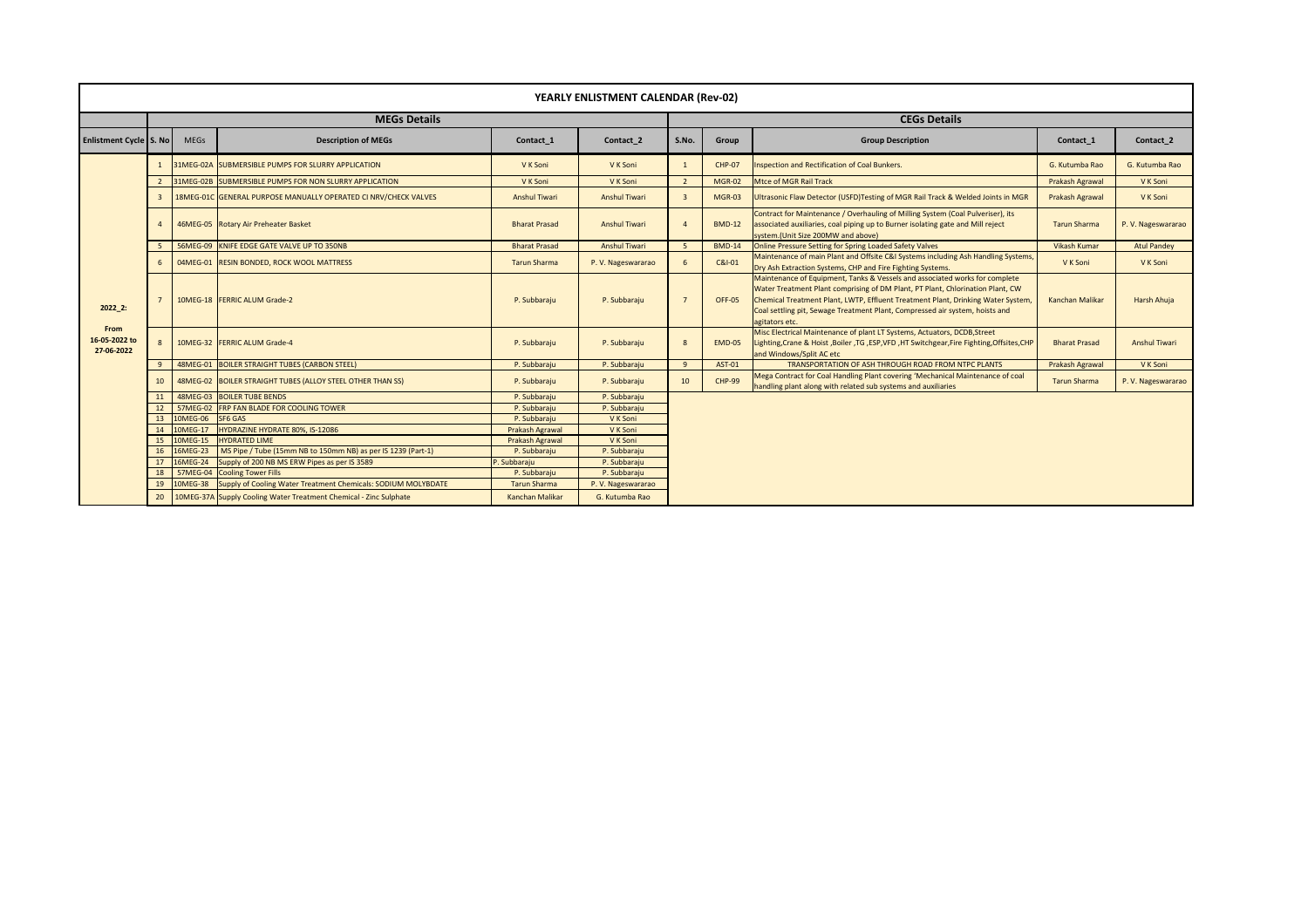| <b>YEARLY ENLISTMENT CALENDAR (Rev-02)</b> |                     |                  |                                                                        |                        |                      |       |                     |                                                                                                                                                                                                                                                                                                                                                     |                        |                      |  |  |
|--------------------------------------------|---------------------|------------------|------------------------------------------------------------------------|------------------------|----------------------|-------|---------------------|-----------------------------------------------------------------------------------------------------------------------------------------------------------------------------------------------------------------------------------------------------------------------------------------------------------------------------------------------------|------------------------|----------------------|--|--|
|                                            | <b>MEGs Details</b> |                  |                                                                        |                        |                      |       | <b>CEGs Details</b> |                                                                                                                                                                                                                                                                                                                                                     |                        |                      |  |  |
| <b>Enlistment Cycle S. No</b>              |                     | <b>MEGs</b>      | <b>Description of MEGs</b>                                             | Contact_1              | Contact_2            | S.No. | Group               | <b>Group Description</b>                                                                                                                                                                                                                                                                                                                            | Contact_1              | Contact_2            |  |  |
|                                            |                     |                  | 31MEG-02A SUBMERSIBLE PUMPS FOR SLURRY APPLICATION                     | V K Soni               | V K Soni             |       | <b>CHP-07</b>       | Inspection and Rectification of Coal Bunkers.                                                                                                                                                                                                                                                                                                       | G. Kutumba Rao         | G. Kutumba Rao       |  |  |
|                                            |                     |                  | 31MEG-02B SUBMERSIBLE PUMPS FOR NON SLURRY APPLICATION                 | V K Soni               | V K Soni             |       | <b>MGR-02</b>       | Mtce of MGR Rail Track                                                                                                                                                                                                                                                                                                                              | <b>Prakash Agrawal</b> | V K Soni             |  |  |
|                                            |                     |                  | 18MEG-01C GENERAL PURPOSE MANUALLY OPERATED CI NRV/CHECK VALVES        | <b>Anshul Tiwari</b>   | <b>Anshul Tiwari</b> |       | <b>MGR-03</b>       | Ultrasonic Flaw Detector (USFD)Testing of MGR Rail Track & Welded Joints in MGR                                                                                                                                                                                                                                                                     | <b>Prakash Agrawal</b> | V K Soni             |  |  |
| $2022_2$ :                                 |                     |                  | 46MEG-05   Rotary Air Preheater Basket                                 | <b>Bharat Prasad</b>   | <b>Anshul Tiwari</b> |       | <b>BMD-12</b>       | Contract for Maintenance / Overhauling of Milling System (Coal Pulveriser), its<br>associated auxiliaries, coal piping up to Burner isolating gate and Mill reject<br>system.(Unit Size 200MW and above)                                                                                                                                            | <b>Tarun Sharma</b>    | P.V. Nageswararao    |  |  |
|                                            |                     |                  | 56MEG-09   KNIFE EDGE GATE VALVE UP TO 350NB                           | <b>Bharat Prasad</b>   | <b>Anshul Tiwari</b> |       | <b>BMD-14</b>       | Online Pressure Setting for Spring Loaded Safety Valves                                                                                                                                                                                                                                                                                             | <b>Vikash Kumar</b>    | <b>Atul Pandey</b>   |  |  |
|                                            | 6                   |                  | 04MEG-01 RESIN BONDED, ROCK WOOL MATTRESS                              | <b>Tarun Sharma</b>    | P.V. Nageswararao    |       | C&I-01              | Maintenance of main Plant and Offsite C&I Systems including Ash Handling Systems,<br>Dry Ash Extraction Systems, CHP and Fire Fighting Systems.                                                                                                                                                                                                     | V K Soni               | V K Soni             |  |  |
|                                            |                     |                  | 10MEG-18  FERRIC ALUM Grade-2                                          | P. Subbaraju           | P. Subbaraju         |       | <b>OFF-05</b>       | Maintenance of Equipment, Tanks & Vessels and associated works for complete<br>Water Treatment Plant comprising of DM Plant, PT Plant, Chlorination Plant, CW<br>Chemical Treatment Plant, LWTP, Effluent Treatment Plant, Drinking Water System,<br>Coal settling pit, Sewage Treatment Plant, Compressed air system, hoists and<br>agitators etc. | <b>Kanchan Malikar</b> | Harsh Ahuja          |  |  |
| <b>From</b><br>16-05-2022 to<br>27-06-2022 |                     |                  | 10MEG-32   FERRIC ALUM Grade-4                                         | P. Subbaraju           | P. Subbaraju         | -8    | <b>EMD-05</b>       | Misc Electrical Maintenance of plant LT Systems, Actuators, DCDB, Street<br>Lighting, Crane & Hoist, Boiler, TG, ESP, VFD, HT Switchgear, Fire Fighting, Offsites, CHP<br>and Windows/Split AC etc                                                                                                                                                  | <b>Bharat Prasad</b>   | <b>Anshul Tiwari</b> |  |  |
|                                            |                     |                  | 48MEG-01   BOILER STRAIGHT TUBES (CARBON STEEL)                        | P. Subbaraju           | P. Subbaraju         |       | <b>AST-01</b>       | TRANSPORTATION OF ASH THROUGH ROAD FROM NTPC PLANTS                                                                                                                                                                                                                                                                                                 | <b>Prakash Agrawal</b> | V K Soni             |  |  |
|                                            | 10                  |                  | 48MEG-02   BOILER STRAIGHT TUBES (ALLOY STEEL OTHER THAN SS)           | P. Subbaraju           | P. Subbaraju         | 10    | <b>CHP-99</b>       | Mega Contract for Coal Handling Plant covering 'Mechanical Maintenance of coal<br>handling plant along with related sub systems and auxiliaries                                                                                                                                                                                                     | <b>Tarun Sharma</b>    | P.V. Nageswararao    |  |  |
|                                            |                     |                  | 48MEG-03 BOILER TUBE BENDS                                             | P. Subbaraju           | P. Subbaraju         |       |                     |                                                                                                                                                                                                                                                                                                                                                     |                        |                      |  |  |
|                                            |                     |                  | 57MEG-02   FRP FAN BLADE FOR COOLING TOWER                             | P. Subbaraju           | P. Subbaraju         |       |                     |                                                                                                                                                                                                                                                                                                                                                     |                        |                      |  |  |
|                                            | 13                  | 10MEG-06 SF6 GAS |                                                                        | P. Subbaraju           | V K Soni             |       |                     |                                                                                                                                                                                                                                                                                                                                                     |                        |                      |  |  |
|                                            |                     | 10MEG-17         | HYDRAZINE HYDRATE 80%, IS-12086                                        | Prakash Agrawal        | V K Soni             |       |                     |                                                                                                                                                                                                                                                                                                                                                     |                        |                      |  |  |
|                                            | 15 <sub>1</sub>     | 10MEG-15         | <b>HYDRATED LIME</b>                                                   | <b>Prakash Agrawal</b> | V K Soni             |       |                     |                                                                                                                                                                                                                                                                                                                                                     |                        |                      |  |  |
|                                            | 16                  | 16MEG-23         | MS Pipe / Tube (15mm NB to 150mm NB) as per IS 1239 (Part-1)           | P. Subbaraju           | P. Subbaraju         |       |                     |                                                                                                                                                                                                                                                                                                                                                     |                        |                      |  |  |
|                                            |                     | 16MEG-24         | Supply of 200 NB MS ERW Pipes as per IS 3589                           | P. Subbaraju           | P. Subbaraju         |       |                     |                                                                                                                                                                                                                                                                                                                                                     |                        |                      |  |  |
|                                            | 18                  |                  | 57MEG-04 Cooling Tower Fills                                           | P. Subbaraju           | P. Subbaraju         |       |                     |                                                                                                                                                                                                                                                                                                                                                     |                        |                      |  |  |
|                                            | 19                  |                  | 10MEG-38 Supply of Cooling Water Treatment Chemicals: SODIUM MOLYBDATE | <b>Tarun Sharma</b>    | P.V. Nageswararao    |       |                     |                                                                                                                                                                                                                                                                                                                                                     |                        |                      |  |  |
|                                            | 20 <sub>2</sub>     |                  | 10MEG-37A Supply Cooling Water Treatment Chemical - Zinc Sulphate      | <b>Kanchan Malikar</b> | G. Kutumba Rao       |       |                     |                                                                                                                                                                                                                                                                                                                                                     |                        |                      |  |  |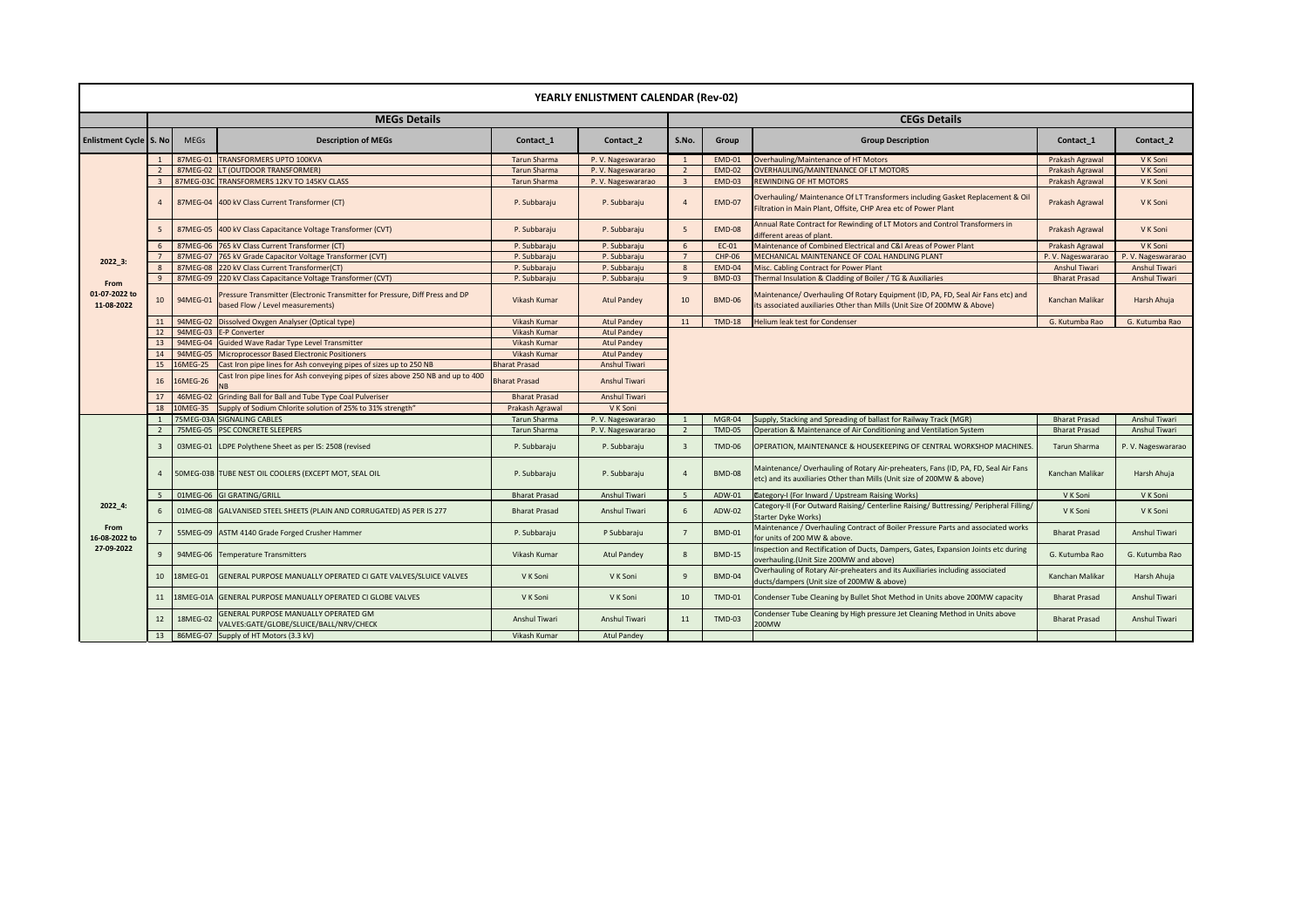|                                     | <b>YEARLY ENLISTMENT CALENDAR (Rev-02)</b> |             |                                                                                                                  |                      |                      |       |                     |                                                                                                                                                              |                        |                      |  |  |
|-------------------------------------|--------------------------------------------|-------------|------------------------------------------------------------------------------------------------------------------|----------------------|----------------------|-------|---------------------|--------------------------------------------------------------------------------------------------------------------------------------------------------------|------------------------|----------------------|--|--|
|                                     | <b>MEGs Details</b>                        |             |                                                                                                                  |                      |                      |       | <b>CEGs Details</b> |                                                                                                                                                              |                        |                      |  |  |
| <b>Enlistment Cycle S. No</b>       |                                            | <b>MEGs</b> | <b>Description of MEGs</b>                                                                                       | Contact_1            | Contact_2            | S.No. | Group               | <b>Group Description</b>                                                                                                                                     | Contact_1              | Contact_2            |  |  |
|                                     |                                            | 87MEG-01    | <b>TRANSFORMERS UPTO 100KVA</b>                                                                                  | <b>Tarun Sharma</b>  | P.V. Nageswararao    |       | <b>EMD-01</b>       | Overhauling/Maintenance of HT Motors                                                                                                                         | Prakash Agrawal        | V K Soni             |  |  |
|                                     |                                            | 87MEG-02    | LT (OUTDOOR TRANSFORMER)                                                                                         | <b>Tarun Sharma</b>  | P.V. Nageswararao    |       | <b>EMD-02</b>       | <b>OVERHAULING/MAINTENANCE OF LT MOTORS</b>                                                                                                                  | Prakash Agrawal        | V K Soni             |  |  |
|                                     |                                            |             | 87MEG-03C TRANSFORMERS 12KV TO 145KV CLASS                                                                       | <b>Tarun Sharma</b>  | P.V. Nageswararao    | -3    | EMD-03              | <b>REWINDING OF HT MOTORS</b>                                                                                                                                | Prakash Agrawal        | V K Soni             |  |  |
|                                     |                                            |             | 87MEG-04 400 kV Class Current Transformer (CT)                                                                   | P. Subbaraju         | P. Subbaraju         |       | <b>EMD-07</b>       | Overhauling/ Maintenance Of LT Transformers including Gasket Replacement & Oil<br>Filtration in Main Plant, Offsite, CHP Area etc of Power Plant             | Prakash Agrawal        | V K Soni             |  |  |
|                                     |                                            |             | 87MEG-05 400 kV Class Capacitance Voltage Transformer (CVT)                                                      | P. Subbaraju         | P. Subbaraju         | -5    | <b>EMD-08</b>       | Annual Rate Contract for Rewinding of LT Motors and Control Transformers in<br>different areas of plant.                                                     | Prakash Agrawal        | V K Soni             |  |  |
|                                     | 6                                          |             | 87MEG-06 765 kV Class Current Transformer (CT)                                                                   | P. Subbaraju         | P. Subbaraju         |       | EC-01               | Maintenance of Combined Electrical and C&I Areas of Power Plant                                                                                              | Prakash Agrawal        | V K Soni             |  |  |
|                                     |                                            |             | 87MEG-07 765 kV Grade Capacitor Voltage Transformer (CVT)                                                        | P. Subbaraju         | P. Subbaraju         |       | <b>CHP-06</b>       | MECHANICAL MAINTENANCE OF COAL HANDLING PLANT                                                                                                                | P. V. Nageswararac     | P.V. Nageswararac    |  |  |
| $2022_3$ :                          |                                            |             | 87MEG-08 220 kV Class Current Transformer(CT)                                                                    | P. Subbaraju         | P. Subbaraju         |       | EMD-04              | Misc. Cabling Contract for Power Plant                                                                                                                       | <b>Anshul Tiwari</b>   | <b>Anshul Tiwari</b> |  |  |
|                                     |                                            |             | 87MEG-09 220 kV Class Capacitance Voltage Transformer (CVT)                                                      | P. Subbaraju         | P. Subbaraju         | q     | <b>BMD-03</b>       | Thermal Insulation & Cladding of Boiler / TG & Auxiliaries                                                                                                   | <b>Bharat Prasad</b>   | <b>Anshul Tiwari</b> |  |  |
| From<br>01-07-2022 to<br>11-08-2022 | 10                                         | 94MEG-01    | Pressure Transmitter (Electronic Transmitter for Pressure, Diff Press and DP<br>based Flow / Level measurements) | Vikash Kumar         | <b>Atul Pandey</b>   | 10    | <b>BMD-06</b>       | Maintenance/ Overhauling Of Rotary Equipment (ID, PA, FD, Seal Air Fans etc) and<br>its associated auxiliaries Other than Mills (Unit Size Of 200MW & Above) | <b>Kanchan Malikar</b> | Harsh Ahuja          |  |  |
|                                     | 11                                         |             | 94MEG-02   Dissolved Oxygen Analyser (Optical type)                                                              | Vikash Kumar         | <b>Atul Pandey</b>   | 11    | <b>TMD-18</b>       | <b>Helium leak test for Condenser</b>                                                                                                                        | G. Kutumba Rao         | G. Kutumba Rao       |  |  |
|                                     | 12                                         |             | 94MEG-03 E-P Converter                                                                                           | Vikash Kumar         | <b>Atul Pandey</b>   |       |                     |                                                                                                                                                              |                        |                      |  |  |
|                                     | 13                                         |             | 94MEG-04 Guided Wave Radar Type Level Transmitter                                                                | Vikash Kumar         | <b>Atul Pandey</b>   |       |                     |                                                                                                                                                              |                        |                      |  |  |
|                                     | 14                                         |             | 94MEG-05 Microprocessor Based Electronic Positioners                                                             | Vikash Kumar         | <b>Atul Pandey</b>   |       |                     |                                                                                                                                                              |                        |                      |  |  |
|                                     | 15                                         | L6MEG-25    | Cast Iron pipe lines for Ash conveying pipes of sizes up to 250 NB                                               | <b>Bharat Prasad</b> | <b>Anshul Tiwari</b> |       |                     |                                                                                                                                                              |                        |                      |  |  |
|                                     | 16                                         | 16MEG-26    | Cast Iron pipe lines for Ash conveying pipes of sizes above 250 NB and up to 400                                 | <b>Bharat Prasad</b> | <b>Anshul Tiwari</b> |       |                     |                                                                                                                                                              |                        |                      |  |  |
|                                     | 17                                         |             | 46MEG-02 Grinding Ball for Ball and Tube Type Coal Pulveriser                                                    | <b>Bharat Prasad</b> | <b>Anshul Tiwari</b> |       |                     |                                                                                                                                                              |                        |                      |  |  |
|                                     | 18                                         |             | 10MEG-35 Supply of Sodium Chlorite solution of 25% to 31% strength"                                              | Prakash Agrawal      | V K Soni             |       |                     |                                                                                                                                                              |                        |                      |  |  |
|                                     |                                            |             | 75MEG-03A SIGNALING CABLES                                                                                       | <b>Tarun Sharma</b>  | P.V. Nageswararao    |       | MGR-04              | Supply, Stacking and Spreading of ballast for Railway Track (MGR)                                                                                            | <b>Bharat Prasad</b>   | <b>Anshul Tiwari</b> |  |  |
|                                     |                                            |             | 75MEG-05 PSC CONCRETE SLEEPERS                                                                                   | Tarun Sharma         | P.V. Nageswararao    |       | TMD-05              | Operation & Maintenance of Air Conditioning and Ventilation System                                                                                           | <b>Bharat Prasad</b>   | Anshul Tiwari        |  |  |
|                                     |                                            |             | 03MEG-01 LDPE Polythene Sheet as per IS: 2508 (revised                                                           | P. Subbaraju         | P. Subbaraju         | - 3   | TMD-06              | OPERATION, MAINTENANCE & HOUSEKEEPING OF CENTRAL WORKSHOP MACHINES.                                                                                          | <b>Tarun Sharma</b>    | P.V. Nageswararao    |  |  |
|                                     |                                            |             | 50MEG-03B TUBE NEST OIL COOLERS (EXCEPT MOT, SEAL OIL                                                            | P. Subbaraju         | P. Subbaraju         |       | <b>BMD-08</b>       | Maintenance/ Overhauling of Rotary Air-preheaters, Fans (ID, PA, FD, Seal Air Fans<br>etc) and its auxiliaries Other than Mills (Unit size of 200MW & above) | Kanchan Malikar        | Harsh Ahuja          |  |  |
|                                     | -5                                         |             | 01MEG-06 GI GRATING/GRILL                                                                                        | <b>Bharat Prasad</b> | <b>Anshul Tiwari</b> |       | ADW-01              | <b>Category-I (For Inward / Upstream Raising Works)</b>                                                                                                      | V K Soni               | V K Soni             |  |  |
| $2022_4$ :                          |                                            |             | 01MEG-08 GALVANISED STEEL SHEETS (PLAIN AND CORRUGATED) AS PER IS 277                                            | <b>Bharat Prasad</b> | <b>Anshul Tiwari</b> |       | ADW-02              | Category-II (For Outward Raising/ Centerline Raising/ Buttressing/ Peripheral Filling/<br>Starter Dyke Works)                                                | V K Soni               | V K Soni             |  |  |
| From<br>16-08-2022 to               |                                            |             | 55MEG-09   ASTM 4140 Grade Forged Crusher Hammer                                                                 | P. Subbaraju         | P Subbaraju          |       | <b>BMD-01</b>       | Maintenance / Overhauling Contract of Boiler Pressure Parts and associated works<br>for units of 200 MW & above.                                             | <b>Bharat Prasad</b>   | <b>Anshul Tiwari</b> |  |  |
| 27-09-2022                          | 9                                          |             | 94MEG-06 Temperature Transmitters                                                                                | Vikash Kumar         | <b>Atul Pandey</b>   | -8    | <b>BMD-15</b>       | Inspection and Rectification of Ducts, Dampers, Gates, Expansion Joints etc during<br>overhauling. (Unit Size 200MW and above)                               | G. Kutumba Rao         | G. Kutumba Rao       |  |  |
|                                     | 10 <sup>°</sup>                            | 18MEG-01    | GENERAL PURPOSE MANUALLY OPERATED CI GATE VALVES/SLUICE VALVES                                                   | V K Soni             | V K Soni             | -9    | BMD-04              | Overhauling of Rotary Air-preheaters and its Auxiliaries including associated<br>ducts/dampers (Unit size of 200MW & above)                                  | Kanchan Malikar        | Harsh Ahuja          |  |  |
|                                     | <b>11</b>                                  |             | 18MEG-01A GENERAL PURPOSE MANUALLY OPERATED CI GLOBE VALVES                                                      | V K Soni             | V K Soni             | 10    | <b>TMD-01</b>       | Condenser Tube Cleaning by Bullet Shot Method in Units above 200MW capacity                                                                                  | <b>Bharat Prasad</b>   | <b>Anshul Tiwari</b> |  |  |
|                                     | 12                                         | 18MEG-02    | <b>GENERAL PURPOSE MANUALLY OPERATED GM</b><br>VALVES:GATE/GLOBE/SLUICE/BALL/NRV/CHECK                           | Anshul Tiwari        | <b>Anshul Tiwari</b> | 11    | <b>TMD-03</b>       | Condenser Tube Cleaning by High pressure Jet Cleaning Method in Units above<br>200MW                                                                         | <b>Bharat Prasad</b>   | Anshul Tiwari        |  |  |
|                                     | 13                                         |             | 86MEG-07 Supply of HT Motors (3.3 kV)                                                                            | Vikash Kumar         | <b>Atul Pandey</b>   |       |                     |                                                                                                                                                              |                        |                      |  |  |